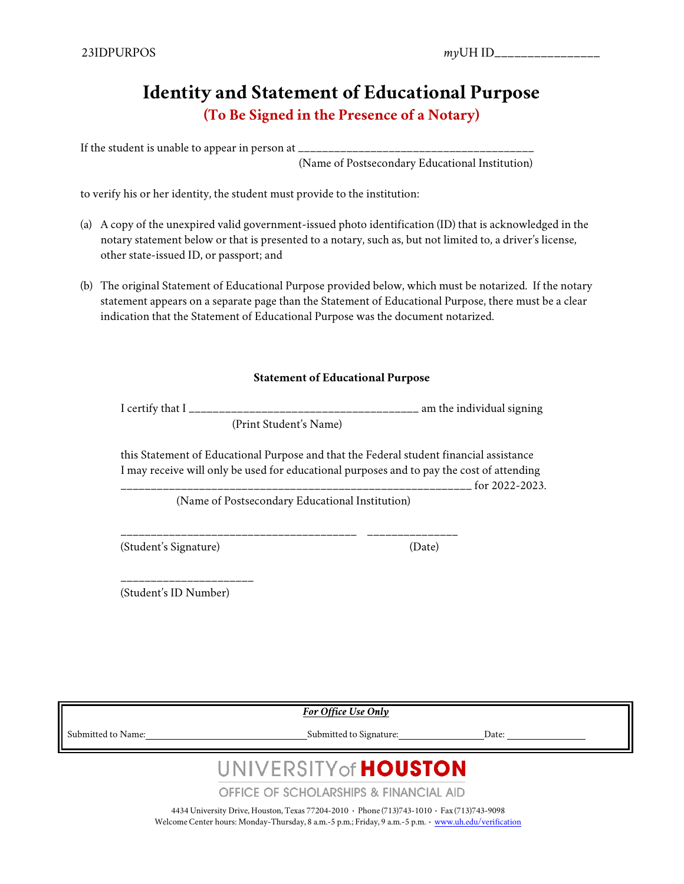## **Identity and Statement of Educational Purpose (To Be Signed in the Presence of a Notary)**

If the student is unable to appear in person at  $\equiv$ 

(Name of Postsecondary Educational Institution)

to verify his or her identity, the student must provide to the institution:

- (a) A copy of the unexpired valid government-issued photo identification (ID) that is acknowledged in the notary statement below or that is presented to a notary, such as, but not limited to, a driver's license, other state-issued ID, or passport; and
- (b) The original Statement of Educational Purpose provided below, which must be notarized. If the notary statement appears on a separate page than the Statement of Educational Purpose, there must be a clear indication that the Statement of Educational Purpose was the document notarized.

#### **Statement of Educational Purpose**

I certify that  $I_{\_$ (Print Student's Name)

this Statement of Educational Purpose and that the Federal student financial assistance I may receive will only be used for educational purposes and to pay the cost of attending  $\frac{1}{2}$  for 2022-2023.

(Name of Postsecondary Educational Institution)

\_\_\_\_\_\_\_\_\_\_\_\_\_\_\_\_\_\_\_\_\_\_\_\_\_\_\_\_\_\_\_\_\_\_\_\_\_\_\_ \_\_\_\_\_\_\_\_\_\_\_\_\_\_\_

(Student's Signature) (Date)

(Student's ID Number)

\_\_\_\_\_\_\_\_\_\_\_\_\_\_\_\_\_\_\_\_\_\_

*For Office Use Only*

Submitted to Name: Submitted to Signature: Date:

# UNIVERSITY of **HOUSTON**

**OFFICE OF SCHOLARSHIPS & FINANCIAL AID** 

4434 University Drive, Houston, Texas 77204-2010 **·** Phone (713)743-1010 **·** Fax (713)743-9098 WelcomeCenter hours: Monday-Thursday, 8 a.m.-5 p.m.; Friday, 9 a.m.-5 p.m. **·** [www.uh.edu/verification](http://www.uh.edu/verification)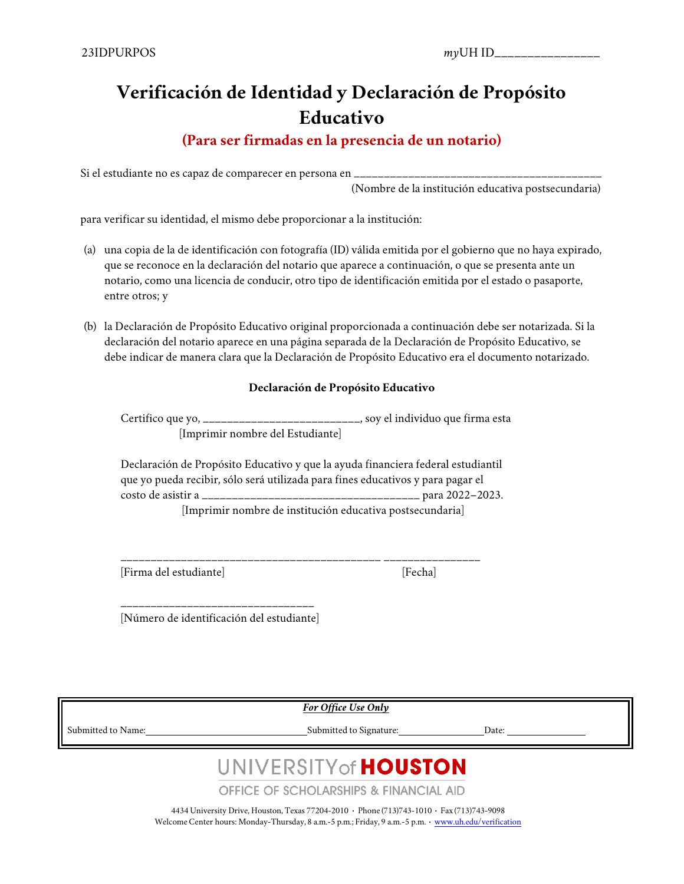## **Verificación de Identidad y Declaración de Propósito Educativo**

### **(Para ser firmadas en la presencia de un notario)**

Si el estudiante no es capaz de comparecer en persona en  $\equiv$ 

(Nombre de la institución educativa postsecundaria)

para verificar su identidad, el mismo debe proporcionar a la institución:

- (a) una copia de la de identificación con fotografía (ID) válida emitida por el gobierno que no haya expirado, que se reconoce en la declaración del notario que aparece a continuación, o que se presenta ante un notario, como una licencia de conducir, otro tipo de identificación emitida por el estado o pasaporte, entre otros; y
- (b) la Declaración de Propósito Educativo original proporcionada a continuación debe ser notarizada. Si la declaración del notario aparece en una página separada de la Declaración de Propósito Educativo, se debe indicar de manera clara que la Declaración de Propósito Educativo era el documento notarizado.

#### **Declaración de Propósito Educativo**

Certifico que yo, \_\_\_\_\_\_\_\_\_\_\_\_\_\_\_\_\_\_\_\_\_\_\_\_\_\_, soy el individuo que firma esta [Imprimir nombre del Estudiante]

Declaración de Propósito Educativo y que la ayuda financiera federal estudiantil que yo pueda recibir, sólo será utilizada para fines educativos y para pagar el costo de asistir a \_\_\_\_\_\_\_\_\_\_\_\_\_\_\_\_\_\_\_\_\_\_\_\_\_\_\_\_\_\_\_\_\_\_\_\_ para 2022–2023. [Imprimir nombre de institución educativa postsecundaria]

\_\_\_\_\_\_\_\_\_\_\_\_\_\_\_\_\_\_\_\_\_\_\_\_\_\_\_\_\_\_\_\_\_\_\_\_\_\_\_\_\_\_\_ \_\_\_\_\_\_\_\_\_\_\_\_\_\_\_\_

[Firma del estudiante] [Fecha]

\_\_\_\_\_\_\_\_\_\_\_\_\_\_\_\_\_\_\_\_\_\_\_\_\_\_\_\_\_\_\_\_ [Número de identificación del estudiante]

*For Office Use Only*

Submitted to Name: Submitted to Signature: Date:

# UNIVERSITY of **HOUSTON**

**OFFICE OF SCHOLARSHIPS & FINANCIAL AID** 

4434 University Drive, Houston, Texas 77204-2010 **·** Phone (713)743-1010 **·** Fax (713)743-9098 WelcomeCenter hours: Monday-Thursday, 8 a.m.-5 p.m.; Friday, 9 a.m.-5 p.m. **·** [www.uh.edu/verification](http://www.uh.edu/verification)